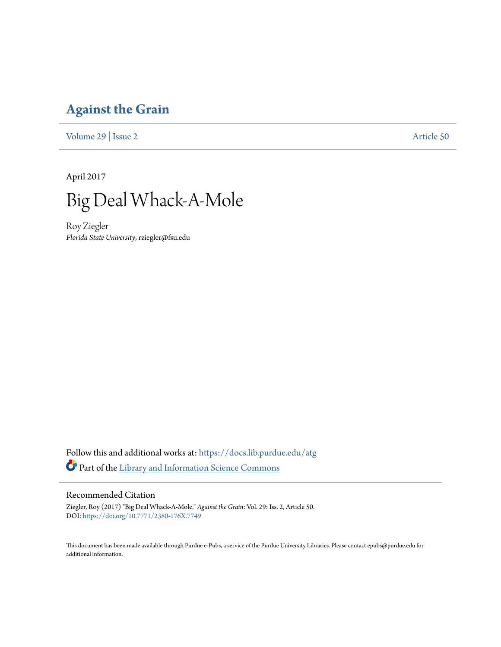# **[Against the Grain](https://docs.lib.purdue.edu/atg?utm_source=docs.lib.purdue.edu%2Fatg%2Fvol29%2Fiss2%2F50&utm_medium=PDF&utm_campaign=PDFCoverPages)**

[Volume 29](https://docs.lib.purdue.edu/atg/vol29?utm_source=docs.lib.purdue.edu%2Fatg%2Fvol29%2Fiss2%2F50&utm_medium=PDF&utm_campaign=PDFCoverPages) | [Issue 2](https://docs.lib.purdue.edu/atg/vol29/iss2?utm_source=docs.lib.purdue.edu%2Fatg%2Fvol29%2Fiss2%2F50&utm_medium=PDF&utm_campaign=PDFCoverPages) [Article 50](https://docs.lib.purdue.edu/atg/vol29/iss2/50?utm_source=docs.lib.purdue.edu%2Fatg%2Fvol29%2Fiss2%2F50&utm_medium=PDF&utm_campaign=PDFCoverPages)

April 2017



Roy Ziegler *Florida State University*, rziegler@fsu.edu

Follow this and additional works at: [https://docs.lib.purdue.edu/atg](https://docs.lib.purdue.edu/atg?utm_source=docs.lib.purdue.edu%2Fatg%2Fvol29%2Fiss2%2F50&utm_medium=PDF&utm_campaign=PDFCoverPages) Part of the [Library and Information Science Commons](http://network.bepress.com/hgg/discipline/1018?utm_source=docs.lib.purdue.edu%2Fatg%2Fvol29%2Fiss2%2F50&utm_medium=PDF&utm_campaign=PDFCoverPages)

## Recommended Citation

Ziegler, Roy (2017) "Big Deal Whack-A-Mole," *Against the Grain*: Vol. 29: Iss. 2, Article 50. DOI: <https://doi.org/10.7771/2380-176X.7749>

This document has been made available through Purdue e-Pubs, a service of the Purdue University Libraries. Please contact epubs@purdue.edu for additional information.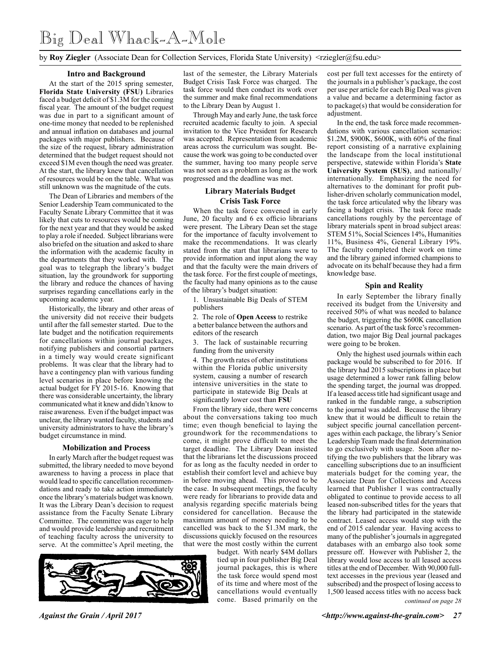by **Roy Ziegler** (Associate Dean for Collection Services, Florida State University) <rziegler@fsu.edu>

#### **Intro and Background**

At the start of the 2015 spring semester, **Florida State University (FSU)** Libraries faced a budget deficit of \$1.3M for the coming fiscal year. The amount of the budget request was due in part to a significant amount of one-time money that needed to be replenished and annual inflation on databases and journal packages with major publishers. Because of the size of the request, library administration determined that the budget request should not exceed \$1M even though the need was greater. At the start, the library knew that cancellation of resources would be on the table. What was still unknown was the magnitude of the cuts.

The Dean of Libraries and members of the Senior Leadership Team communicated to the Faculty Senate Library Committee that it was likely that cuts to resources would be coming for the next year and that they would be asked to play a role if needed. Subject librarians were also briefed on the situation and asked to share the information with the academic faculty in the departments that they worked with. The goal was to telegraph the library's budget situation, lay the groundwork for supporting the library and reduce the chances of having surprises regarding cancellations early in the upcoming academic year.

Historically, the library and other areas of the university did not receive their budgets until after the fall semester started. Due to the late budget and the notification requirements for cancellations within journal packages, notifying publishers and consortial partners in a timely way would create significant problems. It was clear that the library had to have a contingency plan with various funding level scenarios in place before knowing the actual budget for FY 2015-16. Knowing that there was considerable uncertainty, the library communicated what it knew and didn't know to raise awareness. Even if the budget impact was unclear, the library wanted faculty, students and university administrators to have the library's budget circumstance in mind.

#### **Mobilization and Process**

In early March after the budget request was submitted, the library needed to move beyond awareness to having a process in place that would lead to specific cancellation recommendations and ready to take action immediately once the library's materials budget was known. It was the Library Dean's decision to request assistance from the Faculty Senate Library Committee. The committee was eager to help and would provide leadership and recruitment of teaching faculty across the university to serve. At the committee's April meeting, the



last of the semester, the Library Materials Budget Crisis Task Force was charged. The task force would then conduct its work over the summer and make final recommendations to the Library Dean by August 1.

Through May and early June, the task force recruited academic faculty to join. A special invitation to the Vice President for Research was accepted. Representation from academic areas across the curriculum was sought. Because the work was going to be conducted over the summer, having too many people serve was not seen as a problem as long as the work progressed and the deadline was met.

## **Library Materials Budget Crisis Task Force**

When the task force convened in early June, 20 faculty and 6 ex officio librarians were present. The Library Dean set the stage for the importance of faculty involvement to make the recommendations. It was clearly stated from the start that librarians were to provide information and input along the way and that the faculty were the main drivers of the task force. For the first couple of meetings, the faculty had many opinions as to the cause of the library's budget situation:

1. Unsustainable Big Deals of STEM publishers

2. The role of **Open Access** to restrike a better balance between the authors and editors of the research

3. The lack of sustainable recurring funding from the university

4. The growth rates of other institutions within the Florida public university system, causing a number of research intensive universities in the state to participate in statewide Big Deals at significantly lower cost than **FSU**

From the library side, there were concerns about the conversations taking too much time; even though beneficial to laying the groundwork for the recommendations to come, it might prove difficult to meet the target deadline. The Library Dean insisted that the librarians let the discussions proceed for as long as the faculty needed in order to establish their comfort level and achieve buy in before moving ahead. This proved to be the case. In subsequent meetings, the faculty were ready for librarians to provide data and analysis regarding specific materials being considered for cancellation. Because the maximum amount of money needing to be cancelled was back to the \$1.3M mark, the discussions quickly focused on the resources that were the most costly within the current

budget. With nearly \$4M dollars tied up in four publisher Big Deal journal packages, this is where the task force would spend most of its time and where most of the cancellations would eventually come. Based primarily on the

cost per full text accesses for the entirety of the journals in a publisher's package, the cost per use per article for each Big Deal was given a value and became a determining factor as to package(s) that would be consideration for adjustment.

In the end, the task force made recommendations with various cancellation scenarios: \$1.2M, \$900K, \$600K, with 60% of the final report consisting of a narrative explaining the landscape from the local institutional perspective, statewide within Florida's **State University System (SUS)**, and nationally/ internationally. Emphasizing the need for alternatives to the dominant for profit publisher-driven scholarly communication model, the task force articulated why the library was facing a budget crisis. The task force made cancellations roughly by the percentage of library materials spent in broad subject areas: STEM 51%, Social Sciences 14%, Humanities 11%, Business 4%, General Library 19%. The faculty completed their work on time and the library gained informed champions to advocate on its behalf because they had a firm knowledge base.

#### **Spin and Reality**

In early September the library finally received its budget from the University and received 50% of what was needed to balance the budget, triggering the \$600K cancellation scenario. As part of the task force's recommendation, two major Big Deal journal packages were going to be broken.

Only the highest used journals within each package would be subscribed to for 2016. If the library had 2015 subscriptions in place but usage determined a lower rank falling below the spending target, the journal was dropped. If a leased access title had significant usage and ranked in the fundable range, a subscription to the journal was added. Because the library knew that it would be difficult to retain the subject specific journal cancellation percentages within each package, the library's Senior Leadership Team made the final determination to go exclusively with usage. Soon after notifying the two publishers that the library was cancelling subscriptions due to an insufficient materials budget for the coming year, the Associate Dean for Collections and Access learned that Publisher 1 was contractually obligated to continue to provide access to all leased non-subscribed titles for the years that the library had participated in the statewide contract. Leased access would stop with the end of 2015 calendar year. Having access to many of the publisher's journals in aggregated databases with an embargo also took some pressure off. However with Publisher 2, the library would lose access to all leased access titles at the end of December. With 90,000 fulltext accesses in the previous year (leased and subscribed) and the prospect of losing access to 1,500 leased access titles with no access back

*continued on page 28*